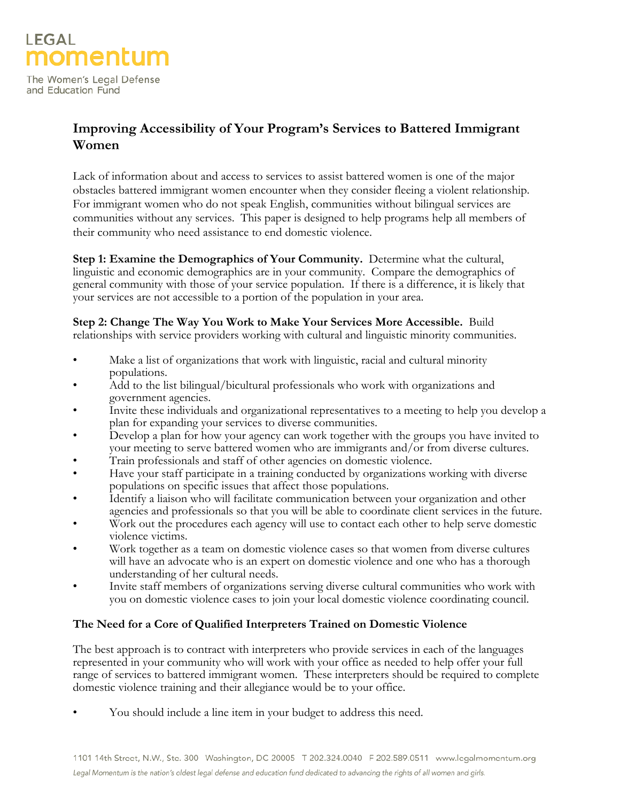

The Women's Legal Defense and Education Fund

# **Improving Accessibility of Your Program's Services to Battered Immigrant Women**

Lack of information about and access to services to assist battered women is one of the major obstacles battered immigrant women encounter when they consider fleeing a violent relationship. For immigrant women who do not speak English, communities without bilingual services are communities without any services. This paper is designed to help programs help all members of their community who need assistance to end domestic violence.

**Step 1: Examine the Demographics of Your Community.** Determine what the cultural, linguistic and economic demographics are in your community. Compare the demographics of general community with those of your service population. If there is a difference, it is likely that your services are not accessible to a portion of the population in your area.

**Step 2: Change The Way You Work to Make Your Services More Accessible.** Build

relationships with service providers working with cultural and linguistic minority communities.

- Make a list of organizations that work with linguistic, racial and cultural minority populations.
- Add to the list bilingual/bicultural professionals who work with organizations and government agencies.
- Invite these individuals and organizational representatives to a meeting to help you develop a plan for expanding your services to diverse communities.
- Develop a plan for how your agency can work together with the groups you have invited to your meeting to serve battered women who are immigrants and/or from diverse cultures.
- Train professionals and staff of other agencies on domestic violence.
- Have your staff participate in a training conducted by organizations working with diverse populations on specific issues that affect those populations.
- Identify a liaison who will facilitate communication between your organization and other agencies and professionals so that you will be able to coordinate client services in the future.
- Work out the procedures each agency will use to contact each other to help serve domestic violence victims.
- Work together as a team on domestic violence cases so that women from diverse cultures will have an advocate who is an expert on domestic violence and one who has a thorough understanding of her cultural needs.
- Invite staff members of organizations serving diverse cultural communities who work with you on domestic violence cases to join your local domestic violence coordinating council.

### **The Need for a Core of Qualified Interpreters Trained on Domestic Violence**

The best approach is to contract with interpreters who provide services in each of the languages represented in your community who will work with your office as needed to help offer your full range of services to battered immigrant women. These interpreters should be required to complete domestic violence training and their allegiance would be to your office.

• You should include a line item in your budget to address this need.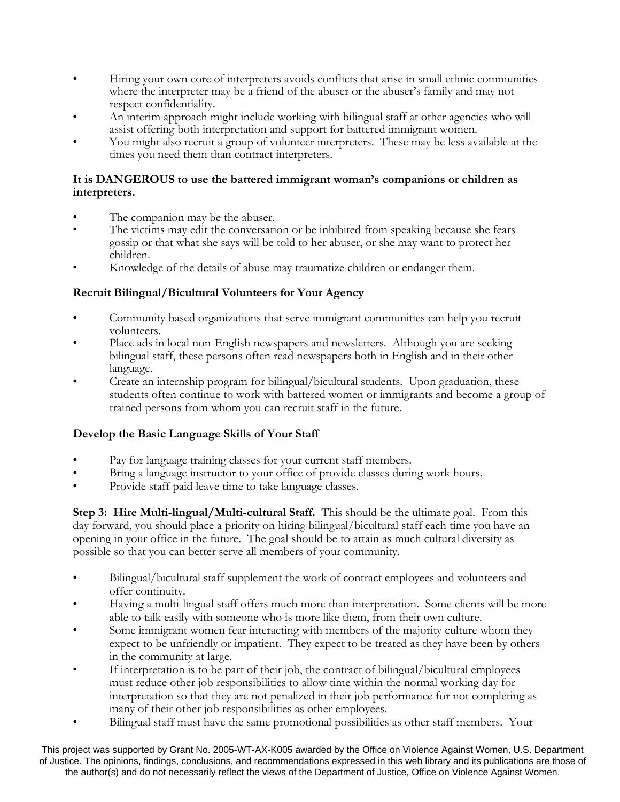- Hiring your own core of interpreters avoids conflicts that arise in small ethnic communities where the interpreter may be a friend of the abuser or the abuser's family and may not respect confidentiality.
- An interim approach might include working with bilingual staff at other agencies who will assist offering both interpretation and support for battered immigrant women.
- You might also recruit a group of volunteer interpreters. These may be less available at the times you need them than contract interpreters.

#### **It is DANGEROUS to use the battered immigrant woman's companions or children as interpreters.**

- The companion may be the abuser.
- The victims may edit the conversation or be inhibited from speaking because she fears gossip or that what she says will be told to her abuser, or she may want to protect her children.
- Knowledge of the details of abuse may traumatize children or endanger them.

### **Recruit Bilingual/Bicultural Volunteers for Your Agency**

- Community based organizations that serve immigrant communities can help you recruit volunteers.
- Place ads in local non-English newspapers and newsletters. Although you are seeking bilingual staff, these persons often read newspapers both in English and in their other language.
- Create an internship program for bilingual/bicultural students. Upon graduation, these students often continue to work with battered women or immigrants and become a group of trained persons from whom you can recruit staff in the future.

### **Develop the Basic Language Skills of Your Staff**

- Pay for language training classes for your current staff members.
- Bring a language instructor to your office of provide classes during work hours.
- Provide staff paid leave time to take language classes.

**Step 3: Hire Multi-lingual/Multi-cultural Staff.** This should be the ultimate goal. From this day forward, you should place a priority on hiring bilingual/bicultural staff each time you have an opening in your office in the future. The goal should be to attain as much cultural diversity as possible so that you can better serve all members of your community.

- Bilingual/bicultural staff supplement the work of contract employees and volunteers and offer continuity.
- Having a multi-lingual staff offers much more than interpretation. Some clients will be more able to talk easily with someone who is more like them, from their own culture.
- Some immigrant women fear interacting with members of the majority culture whom they expect to be unfriendly or impatient. They expect to be treated as they have been by others in the community at large.
- If interpretation is to be part of their job, the contract of bilingual/bicultural employees must reduce other job responsibilities to allow time within the normal working day for interpretation so that they are not penalized in their job performance for not completing as many of their other job responsibilities as other employees.
- Bilingual staff must have the same promotional possibilities as other staff members. Your

This project was supported by Grant No. 2005-WT-AX-K005 awarded by the Office on Violence Against Women, U.S. Department of Justice. The opinions, findings, conclusions, and recommendations expressed in this web library and its publications are those of the author(s) and do not necessarily reflect the views of the Department of Justice, Office on Violence Against Women.